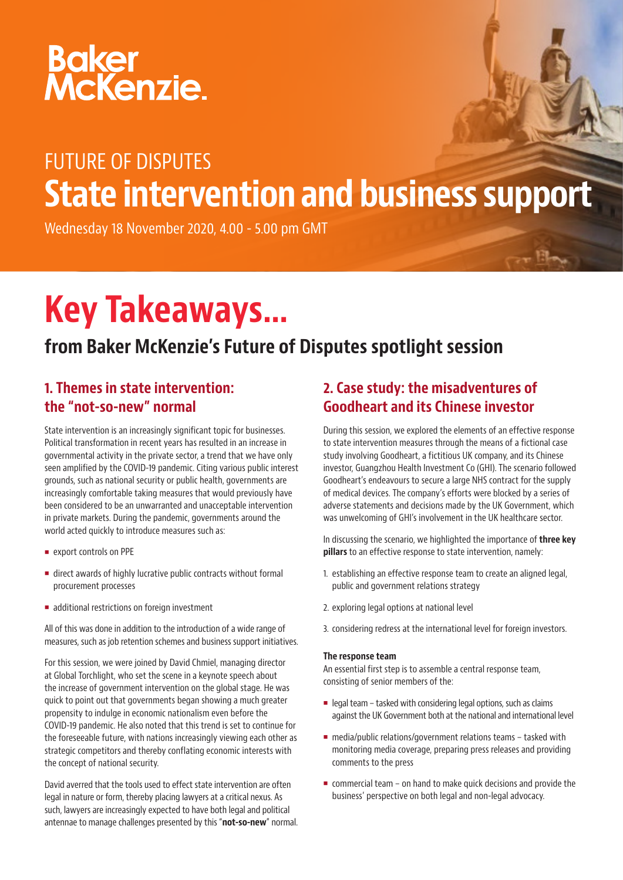# Baker<br>McKenzie.

# FUTURE OF DISPUTES State intervention and business support

Wednesday 18 November 2020, 4.00 - 5.00 pm GMT

# Key Takeaways…

# from Baker McKenzie's Future of Disputes spotlight session

### 1. Themes in state intervention: the "not-so-new" normal

State intervention is an increasingly significant topic for businesses. Political transformation in recent years has resulted in an increase in governmental activity in the private sector, a trend that we have only seen amplified by the COVID-19 pandemic. Citing various public interest grounds, such as national security or public health, governments are increasingly comfortable taking measures that would previously have been considered to be an unwarranted and unacceptable intervention in private markets. During the pandemic, governments around the world acted quickly to introduce measures such as:

- export controls on PPE
- direct awards of highly lucrative public contracts without formal procurement processes
- **additional restrictions on foreign investment**

All of this was done in addition to the introduction of a wide range of measures, such as job retention schemes and business support initiatives.

For this session, we were joined by David Chmiel, managing director at Global Torchlight, who set the scene in a keynote speech about the increase of government intervention on the global stage. He was quick to point out that governments began showing a much greater propensity to indulge in economic nationalism even before the COVID-19 pandemic. He also noted that this trend is set to continue for the foreseeable future, with nations increasingly viewing each other as strategic competitors and thereby conflating economic interests with the concept of national security.

David averred that the tools used to effect state intervention are often legal in nature or form, thereby placing lawyers at a critical nexus. As such, lawyers are increasingly expected to have both legal and political antennae to manage challenges presented by this "not-so-new" normal.

## 2. Case study: the misadventures of Goodheart and its Chinese investor

During this session, we explored the elements of an effective response to state intervention measures through the means of a fictional case study involving Goodheart, a fictitious UK company, and its Chinese investor, Guangzhou Health Investment Co (GHI). The scenario followed Goodheart's endeavours to secure a large NHS contract for the supply of medical devices. The company's efforts were blocked by a series of adverse statements and decisions made by the UK Government, which was unwelcoming of GHI's involvement in the UK healthcare sector.

In discussing the scenario, we highlighted the importance of **three key** pillars to an effective response to state intervention, namely:

- 1. establishing an effective response team to create an aligned legal, public and government relations strategy
- 2. exploring legal options at national level
- 3. considering redress at the international level for foreign investors.

#### The response team

An essential first step is to assemble a central response team, consisting of senior members of the:

- $\blacksquare$  legal team tasked with considering legal options, such as claims against the UK Government both at the national and international level
- media/public relations/government relations teams tasked with monitoring media coverage, preparing press releases and providing comments to the press
- commercial team on hand to make quick decisions and provide the business' perspective on both legal and non-legal advocacy.